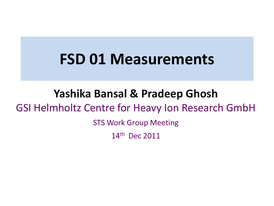### **FSD 01 Measurements**

### **Yashika Bansal & Pradeep Ghosh**  GSI Helmholtz Centre for Heavy Ion Research GmbH STS Work Group Meeting

14th Dec 2011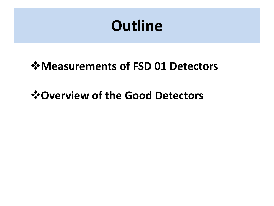## **Outline**

#### **Measurements of FSD 01 Detectors**

#### *<u><b>* ⊙ Overview of the Good Detectors</u>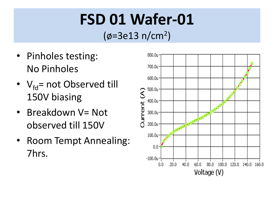# **FSD 01 Wafer-01**

(ø=3e13 n/cm<sup>2</sup> )

- Pinholes testing: No Pinholes
- $V_{\text{fd}}$ = not Observed till 150V biasing
- Breakdown V= Not observed till 150V
- Room Tempt Annealing: 7hrs.

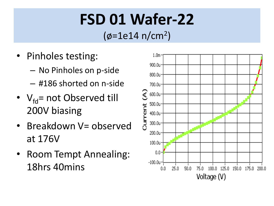# **FSD 01 Wafer-22**

(ø=1e14 n/cm<sup>2</sup> )

- Pinholes testing:
	- No Pinholes on p-side
	- #186 shorted on n-side
- $V_{\text{fd}}$ = not Observed till 200V biasing
- Breakdown V= observed at 176V
- Room Tempt Annealing: 18hrs 40mins

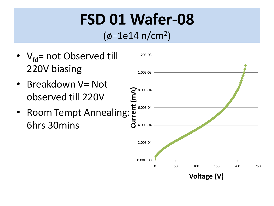# **FSD 01 Wafer-08**

#### (ø=1e14 n/cm<sup>2</sup> )

•  $V_{\text{fd}}$ = not Observed till 220V biasing • Breakdown V= Not observed till 220V • Room Tempt Annealing: 6hrs 30mins 0.00E+00 2.00E-04 4.00E-04 6.00E-04 8.00E-04 1.00E-03 1.20E-03 0 50 100 150 200 250 **Current (mA) Voltage (V)**